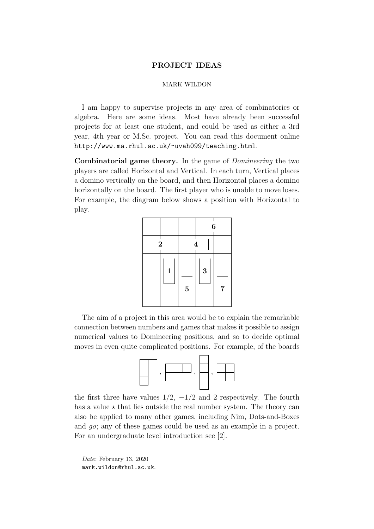# PROJECT IDEAS PROJECT IDEAS

#### MARK WILDON MARK WILDON

I am happy to supervise projects in any area of combinatorics or algebra. Here are some ideas. Most have already been successful I am happy to supervise projects in any area of combinatorics or projects for at least one student, and could be used as either a 3rd year, 4th year or M.Sc. project. You can read this document online http://www.ma.rhul.ac.uk/~uvah099/teaching.html. ac.uk/∼uvah099/. algebra. There are some fueas. Most have already been successful

Combinatorial game theory. In the game of *Domineering* the two players are called Horizontal and Vertical. In each turn, Vertical places players are called Horizontal and Vertical. In each turn, Vertical places a domino vertically on the board, and then Horizontal places a domino a domino vertically on the board, and then Horizontal places a domino horizontally on the board. The first player who is unable to move loses. horizontally on the board. The first player who is unable to move loses. For example, the diagram below shows a position with Horizontal to For example, the diagram below shows a position with Horizontal to play. play.

|                |         | $\boldsymbol{6}$ |   |  |
|----------------|---------|------------------|---|--|
| $\overline{2}$ | 4       |                  |   |  |
| $\mathbf{1}$   | $\bf 5$ | 3                | 7 |  |

The aim of a project in this area would be to explain the remarkable The aim of a project in this area would be to explain the remarkable connection between numbers and games that makes it possible to assign connection between numbers and games that makes it possible to assign numerical values to Domineering positions, and so to decide optimal numerical values to Domineering positions, and so to decide optimal mantericar variation of Bonnieums positions, and so to decide opening moves in even quite complicated positions. For example, of the boards



the first three have values  $1/2$ ,  $-1/2$  and 2 respectively. The fourth the first three have values  $1/2$ ,  $-1/2$  and 2 respectively. The fourth has a value  $\star$  that lies outside the real number system. The theory can also be applied to many other games, including Nim, Dots-and-Boxes and  $go$ ; any of these games could be used as an example in a project. For an undergraduate level introduction see  $[2]$ .

Date: February 13, 2020

mark.wildon@rhul.ac.uk.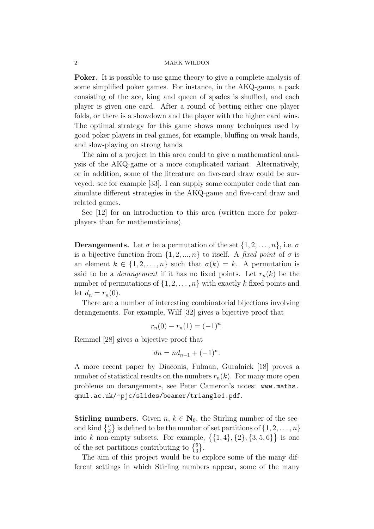Poker. It is possible to use game theory to give a complete analysis of some simplified poker games. For instance, in the AKQ-game, a pack consisting of the ace, king and queen of spades is shuffled, and each player is given one card. After a round of betting either one player folds, or there is a showdown and the player with the higher card wins. The optimal strategy for this game shows many techniques used by good poker players in real games, for example, bluffing on weak hands, and slow-playing on strong hands.

The aim of a project in this area could to give a mathematical analysis of the AKQ-game or a more complicated variant. Alternatively, or in addition, some of the literature on five-card draw could be surveyed: see for example [33]. I can supply some computer code that can simulate different strategies in the AKQ-game and five-card draw and related games.

See [12] for an introduction to this area (written more for pokerplayers than for mathematicians).

**Derangements.** Let  $\sigma$  be a permutation of the set  $\{1, 2, \ldots, n\}$ , i.e.  $\sigma$ is a bijective function from  $\{1, 2, ..., n\}$  to itself. A fixed point of  $\sigma$  is an element  $k \in \{1, 2, ..., n\}$  such that  $\sigma(k) = k$ . A permutation is said to be a *derangement* if it has no fixed points. Let  $r_n(k)$  be the number of permutations of  $\{1, 2, \ldots, n\}$  with exactly k fixed points and let  $d_n = r_n(0)$ .

There are a number of interesting combinatorial bijections involving derangements. For example, Wilf [32] gives a bijective proof that

$$
r_n(0) - r_n(1) = (-1)^n.
$$

Remmel [28] gives a bijective proof that

$$
dn = nd_{n-1} + (-1)^n.
$$

A more recent paper by Diaconis, Fulman, Guralnick [18] proves a number of statistical results on the numbers  $r_n(k)$ . For many more open problems on derangements, see Peter Cameron's notes: www.maths. qmul.ac.uk/~pjc/slides/beamer/triangle1.pdf.

**Stirling numbers.** Given  $n, k \in \mathbb{N}_0$ , the Stirling number of the second kind  $\{n\}\)$  is defined to be the number of set partitions of  $\{1, 2, \ldots, n\}$ into k non-empty subsets. For example,  $\{\{1,4\},\{2\},\{3,5,6\}\}\$ is one of the set partitions contributing to  $\{^6_3\}.$ 

The aim of this project would be to explore some of the many different settings in which Stirling numbers appear, some of the many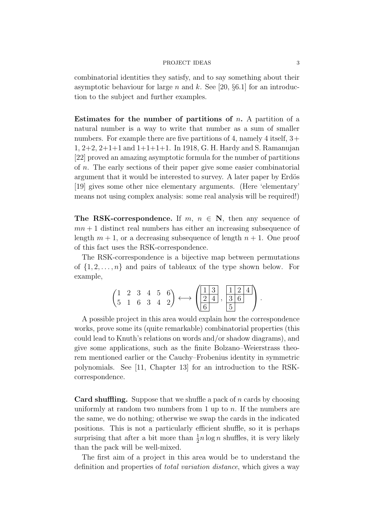#### PROJECT IDEAS 3

combinatorial identities they satisfy, and to say something about their asymptotic behaviour for large n and k. See [20,  $\S6.1$ ] for an introduction to the subject and further examples.

Estimates for the number of partitions of  $n$ . A partition of a natural number is a way to write that number as a sum of smaller numbers. For example there are five partitions of 4, namely 4 itself,  $3+$ 1, 2+2, 2+1+1 and 1+1+1+1. In 1918, G. H. Hardy and S. Ramanujan [22] proved an amazing asymptotic formula for the number of partitions of  $n$ . The early sections of their paper give some easier combinatorial argument that it would be interested to survey. A later paper by Erdös [19] gives some other nice elementary arguments. (Here 'elementary' means not using complex analysis: some real analysis will be required!)

The RSK-correspondence. If  $m, n \in \mathbb{N}$ , then any sequence of  $mn + 1$  distinct real numbers has either an increasing subsequence of length  $m + 1$ , or a decreasing subsequence of length  $n + 1$ . One proof of this fact uses the RSK-correspondence.

The RSK-correspondence is a bijective map between permutations of  $\{1, 2, \ldots, n\}$  and pairs of tableaux of the type shown below. For example,

|  |  | $\begin{pmatrix} 1 & 2 & 3 & 4 & 5 & 6 \\ 5 & 1 & 6 & 3 & 4 & 2 \end{pmatrix} \longleftrightarrow \begin{pmatrix} 1 & 3 \\ 2 & 4 \\ 6 & 5 \end{pmatrix}, \frac{1 & 2 & 4}{3 & 6}$ |  |  |  |
|--|--|-----------------------------------------------------------------------------------------------------------------------------------------------------------------------------------|--|--|--|
|  |  |                                                                                                                                                                                   |  |  |  |
|  |  |                                                                                                                                                                                   |  |  |  |

A possible project in this area would explain how the correspondence works, prove some its (quite remarkable) combinatorial properties (this could lead to Knuth's relations on words and/or shadow diagrams), and give some applications, such as the finite Bolzano–Weierstrass theorem mentioned earlier or the Cauchy–Frobenius identity in symmetric polynomials. See [11, Chapter 13] for an introduction to the RSKcorrespondence.

**Card shuffling.** Suppose that we shuffle a pack of  $n$  cards by choosing uniformly at random two numbers from 1 up to  $n$ . If the numbers are the same, we do nothing; otherwise we swap the cards in the indicated positions. This is not a particularly efficient shuffle, so it is perhaps surprising that after a bit more than  $\frac{1}{2}n \log n$  shuffles, it is very likely than the pack will be well-mixed.

The first aim of a project in this area would be to understand the definition and properties of total variation distance, which gives a way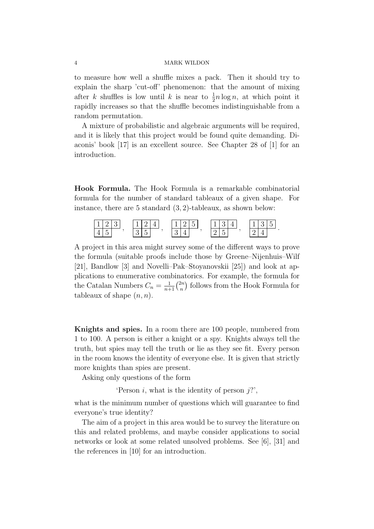to measure how well a shuffle mixes a pack. Then it should try to explain the sharp 'cut-off' phenomenon: that the amount of mixing after k shuffles is low until k is near to  $\frac{1}{2}n \log n$ , at which point it rapidly increases so that the shuffle becomes indistinguishable from a random permutation.

A mixture of probabilistic and algebraic arguments will be required, and it is likely that this project would be found quite demanding. Diaconis' book [17] is an excellent source. See Chapter 28 of [1] for an introduction.

Hook Formula. The Hook Formula is a remarkable combinatorial formula for the number of standard tableaux of a given shape. For instance, there are 5 standard (3, 2)-tableaux, as shown below:



A project in this area might survey some of the different ways to prove the formula (suitable proofs include those by Greene–Nijenhuis–Wilf [21], Bandlow [3] and Novelli–Pak–Stoyanovskii [25]) and look at applications to enumerative combinatorics. For example, the formula for the Catalan Numbers  $C_n = \frac{1}{n+1} \binom{2n}{n}$  $\binom{2n}{n}$  follows from the Hook Formula for tableaux of shape  $(n, n)$ .

Knights and spies. In a room there are 100 people, numbered from 1 to 100. A person is either a knight or a spy. Knights always tell the truth, but spies may tell the truth or lie as they see fit. Every person in the room knows the identity of everyone else. It is given that strictly more knights than spies are present.

Asking only questions of the form

'Person  $i$ , what is the identity of person  $j$ ?',

what is the minimum number of questions which will guarantee to find everyone's true identity?

The aim of a project in this area would be to survey the literature on this and related problems, and maybe consider applications to social networks or look at some related unsolved problems. See [6], [31] and the references in [10] for an introduction.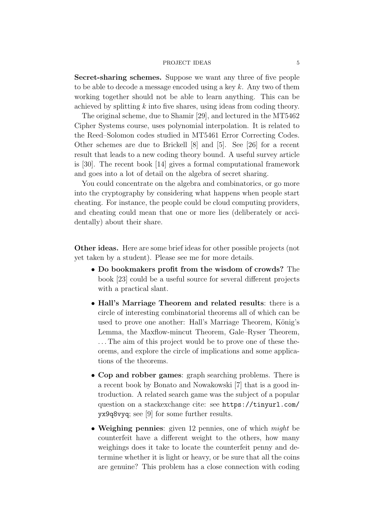#### PROJECT IDEAS 5

Secret-sharing schemes. Suppose we want any three of five people to be able to decode a message encoded using a key  $k$ . Any two of them working together should not be able to learn anything. This can be achieved by splitting  $k$  into five shares, using ideas from coding theory.

The original scheme, due to Shamir [29], and lectured in the MT5462 Cipher Systems course, uses polynomial interpolation. It is related to the Reed–Solomon codes studied in MT5461 Error Correcting Codes. Other schemes are due to Brickell [8] and [5]. See [26] for a recent result that leads to a new coding theory bound. A useful survey article is [30]. The recent book [14] gives a formal computational framework and goes into a lot of detail on the algebra of secret sharing.

You could concentrate on the algebra and combinatorics, or go more into the cryptography by considering what happens when people start cheating. For instance, the people could be cloud computing providers, and cheating could mean that one or more lies (deliberately or accidentally) about their share.

Other ideas. Here are some brief ideas for other possible projects (not yet taken by a student). Please see me for more details.

- Do bookmakers profit from the wisdom of crowds? The book [23] could be a useful source for several different projects with a practical slant.
- Hall's Marriage Theorem and related results: there is a circle of interesting combinatorial theorems all of which can be used to prove one another: Hall's Marriage Theorem, König's Lemma, the Maxflow-mincut Theorem, Gale–Ryser Theorem, . . . The aim of this project would be to prove one of these theorems, and explore the circle of implications and some applications of the theorems.
- Cop and robber games: graph searching problems. There is a recent book by Bonato and Nowakowski [7] that is a good introduction. A related search game was the subject of a popular question on a stackexchange cite: see https://tinyurl.com/ yx9q8vyq; see [9] for some further results.
- Weighing pennies: given 12 pennies, one of which *might* be counterfeit have a different weight to the others, how many weighings does it take to locate the counterfeit penny and determine whether it is light or heavy, or be sure that all the coins are genuine? This problem has a close connection with coding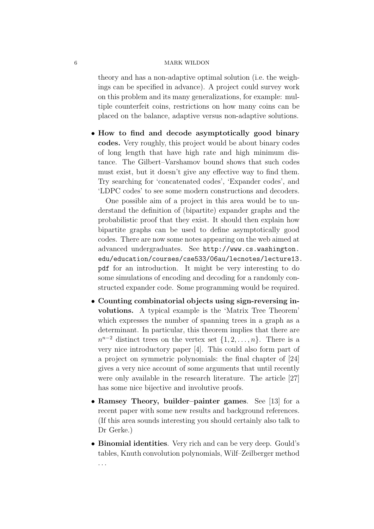theory and has a non-adaptive optimal solution (i.e. the weighings can be specified in advance). A project could survey work on this problem and its many generalizations, for example: multiple counterfeit coins, restrictions on how many coins can be placed on the balance, adaptive versus non-adaptive solutions.

• How to find and decode asymptotically good binary codes. Very roughly, this project would be about binary codes of long length that have high rate and high minimum distance. The Gilbert–Varshamov bound shows that such codes must exist, but it doesn't give any effective way to find them. Try searching for 'concatenated codes', 'Expander codes', and 'LDPC codes' to see some modern constructions and decoders.

One possible aim of a project in this area would be to understand the definition of (bipartite) expander graphs and the probabilistic proof that they exist. It should then explain how bipartite graphs can be used to define asymptotically good codes. There are now some notes appearing on the web aimed at advanced undergraduates. See http://www.cs.washington. edu/education/courses/cse533/06au/lecnotes/lecture13. pdf for an introduction. It might be very interesting to do some simulations of encoding and decoding for a randomly constructed expander code. Some programming would be required.

- Counting combinatorial objects using sign-reversing involutions. A typical example is the 'Matrix Tree Theorem' which expresses the number of spanning trees in a graph as a determinant. In particular, this theorem implies that there are  $n^{n-2}$  distinct trees on the vertex set  $\{1, 2, ..., n\}$ . There is a very nice introductory paper [4]. This could also form part of a project on symmetric polynomials: the final chapter of [24] gives a very nice account of some arguments that until recently were only available in the research literature. The article [27] has some nice bijective and involutive proofs.
- Ramsey Theory, builder–painter games. See [13] for a recent paper with some new results and background references. (If this area sounds interesting you should certainly also talk to Dr Gerke.)
- Binomial identities. Very rich and can be very deep. Gould's tables, Knuth convolution polynomials, Wilf–Zeilberger method . . .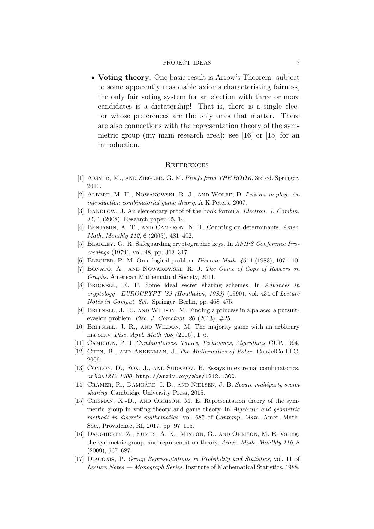# PROJECT IDEAS 7

• Voting theory. One basic result is Arrow's Theorem: subject to some apparently reasonable axioms characteristing fairness, the only fair voting system for an election with three or more candidates is a dictatorship! That is, there is a single elector whose preferences are the only ones that matter. There are also connections with the representation theory of the symmetric group (my main research area): see [16] or [15] for an introduction.

# **REFERENCES**

- [1] Aigner, M., and Ziegler, G. M. Proofs from THE BOOK, 3rd ed. Springer, 2010.
- [2] Albert, M. H., Nowakowski, R. J., and Wolfe, D. Lessons in play: An introduction combinatorial game theory. A K Peters, 2007.
- [3] BANDLOW, J. An elementary proof of the hook formula. *Electron. J. Combin.* 15, 1 (2008), Research paper 45, 14.
- [4] Benjamin, A. T., and Cameron, N. T. Counting on determinants. Amer. Math. Monthly 112, 6 (2005), 481–492.
- [5] Blakley, G. R. Safeguarding cryptographic keys. In AFIPS Conference Proceedings (1979), vol. 48, pp. 313–317.
- [6] Blecher, P. M. On a logical problem. Discrete Math. 43, 1 (1983), 107–110.
- [7] Bonato, A., and Nowakowski, R. J. The Game of Cops of Robbers on Graphs. American Mathematical Society, 2011.
- [8] Brickell, E. F. Some ideal secret sharing schemes. In Advances in cryptology—EUROCRYPT '89 (Houthalen, 1989) (1990), vol. 434 of Lecture Notes in Comput. Sci., Springer, Berlin, pp. 468–475.
- [9] Britnell, J. R., and Wildon, M. Finding a princess in a palace: a pursuitevasion problem. Elec. J. Combinat. 20  $(2013)$ ,  $\#25$ .
- [10] BRITNELL, J. R., AND WILDON, M. The majority game with an arbitrary majority. *Disc. Appl. Math 208* (2016), 1–6.
- [11] Cameron, P. J. Combinatorics: Topics, Techniques, Algorithms. CUP, 1994.
- [12] Chen, B., and Ankenman, J. The Mathematics of Poker. ConJelCo LLC, 2006.
- [13] CONLON, D., FOX, J., AND SUDAKOV, B. Essays in extremal combinatorics. arXiv:1212.1300, http://arxiv.org/abs/1212.1300.
- [14] CRAMER, R., DAMGÅRD, I. B., AND NIELSEN, J. B. Secure multiparty secret sharing. Cambridge University Press, 2015.
- [15] CRISMAN, K.-D., AND ORRISON, M. E. Representation theory of the symmetric group in voting theory and game theory. In Algebraic and geometric methods in discrete mathematics, vol. 685 of Contemp. Math. Amer. Math. Soc., Providence, RI, 2017, pp. 97–115.
- [16] Daugherty, Z., Eustis, A. K., Minton, G., and Orrison, M. E. Voting, the symmetric group, and representation theory. Amer. Math. Monthly 116, 8 (2009), 667–687.
- [17] Diaconis, P. Group Representations in Probability and Statistics, vol. 11 of Lecture Notes — Monograph Series. Institute of Mathematical Statistics, 1988.